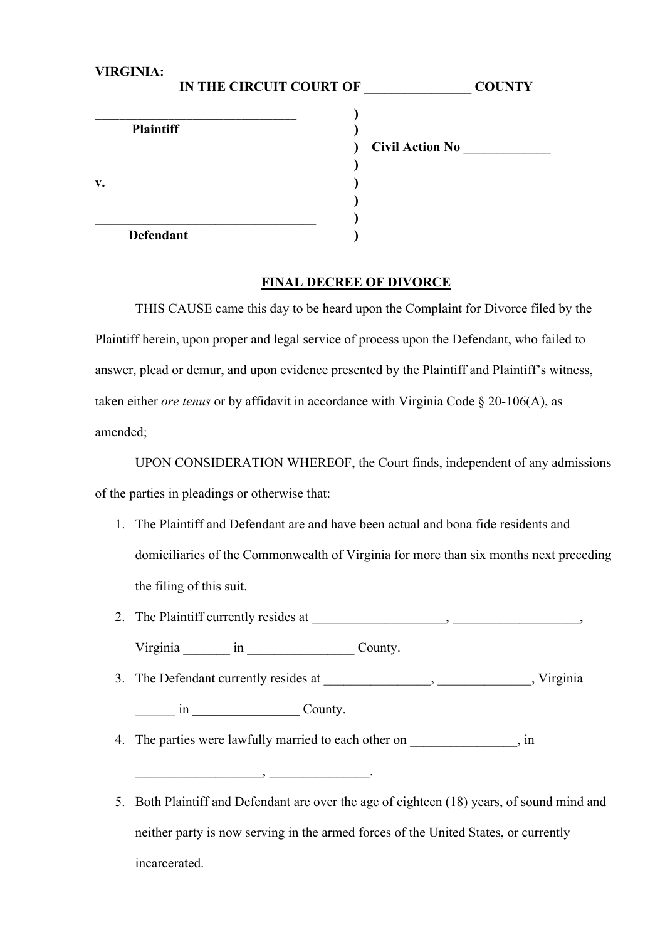| <b>VIRGINIA:</b><br>IN THE CIRCUIT COURT OF |                        | <b>COUNTY</b> |
|---------------------------------------------|------------------------|---------------|
| <b>Plaintiff</b>                            |                        |               |
|                                             | <b>Civil Action No</b> |               |
| v.                                          |                        |               |
| <b>Defendant</b>                            |                        |               |

## **FINAL DECREE OF DIVORCE**

THIS CAUSE came this day to be heard upon the Complaint for Divorce filed by the Plaintiff herein, upon proper and legal service of process upon the Defendant, who failed to answer, plead or demur, and upon evidence presented by the Plaintiff and Plaintiff's witness, taken either *ore tenus* or by affidavit in accordance with Virginia Code § 20-106(A), as amended;

UPON CONSIDERATION WHEREOF, the Court finds, independent of any admissions of the parties in pleadings or otherwise that:

- 1. The Plaintiff and Defendant are and have been actual and bona fide residents and domiciliaries of the Commonwealth of Virginia for more than six months next preceding the filing of this suit.
- 2. The Plaintiff currently resides at \_\_\_\_\_\_\_\_\_\_\_\_\_\_\_\_\_\_\_\_, \_\_\_\_\_\_\_\_\_\_\_\_\_\_\_\_\_\_\_,

Virginia \_\_\_\_\_\_\_ in **\_\_\_\_\_\_\_\_\_\_\_\_\_\_\_\_** County.

\_\_\_\_\_\_\_\_\_\_\_\_\_\_\_\_\_\_\_, \_\_\_\_\_\_\_\_\_\_\_\_\_\_\_.

3. The Defendant currently resides at \_\_\_\_\_\_\_\_\_\_\_\_\_\_\_, \_\_\_\_\_\_\_\_\_\_\_\_\_, Virginia

\_\_\_\_\_\_ in **\_\_\_\_\_\_\_\_\_\_\_\_\_\_\_\_** County.

- 4. The parties were lawfully married to each other on \_\_\_\_\_\_\_\_\_\_\_\_\_\_\_\_\_\_, in
- 5. Both Plaintiff and Defendant are over the age of eighteen (18) years, of sound mind and neither party is now serving in the armed forces of the United States, or currently incarcerated.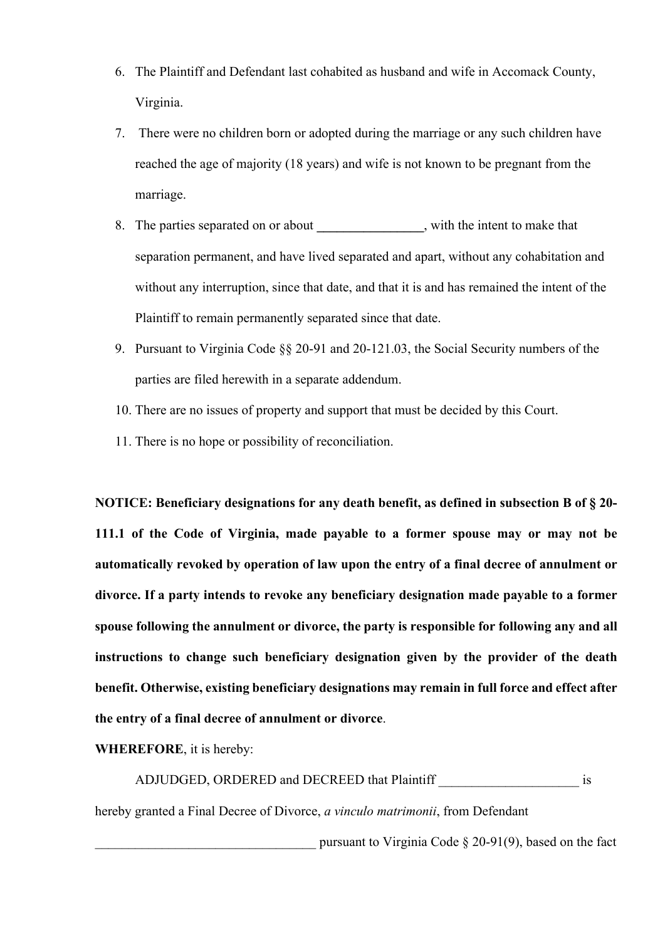- 6. The Plaintiff and Defendant last cohabited as husband and wife in Accomack County, Virginia.
- 7. There were no children born or adopted during the marriage or any such children have reached the age of majority (18 years) and wife is not known to be pregnant from the marriage.
- 8. The parties separated on or about **\_\_\_\_\_\_\_\_\_\_\_\_\_\_\_\_**, with the intent to make that separation permanent, and have lived separated and apart, without any cohabitation and without any interruption, since that date, and that it is and has remained the intent of the Plaintiff to remain permanently separated since that date.
- 9. Pursuant to Virginia Code §§ 20-91 and 20-121.03, the Social Security numbers of the parties are filed herewith in a separate addendum.
- 10. There are no issues of property and support that must be decided by this Court.
- 11. There is no hope or possibility of reconciliation.

**NOTICE: Beneficiary designations for any death benefit, as defined in subsection B of § 20- 111.1 of the Code of Virginia, made payable to a former spouse may or may not be automatically revoked by operation of law upon the entry of a final decree of annulment or divorce. If a party intends to revoke any beneficiary designation made payable to a former spouse following the annulment or divorce, the party is responsible for following any and all instructions to change such beneficiary designation given by the provider of the death benefit. Otherwise, existing beneficiary designations may remain in full force and effect after the entry of a final decree of annulment or divorce**.

**WHEREFORE**, it is hereby:

ADJUDGED, ORDERED and DECREED that Plaintiff is

hereby granted a Final Decree of Divorce, *a vinculo matrimonii*, from Defendant

pursuant to Virginia Code  $\S$  20-91(9), based on the fact